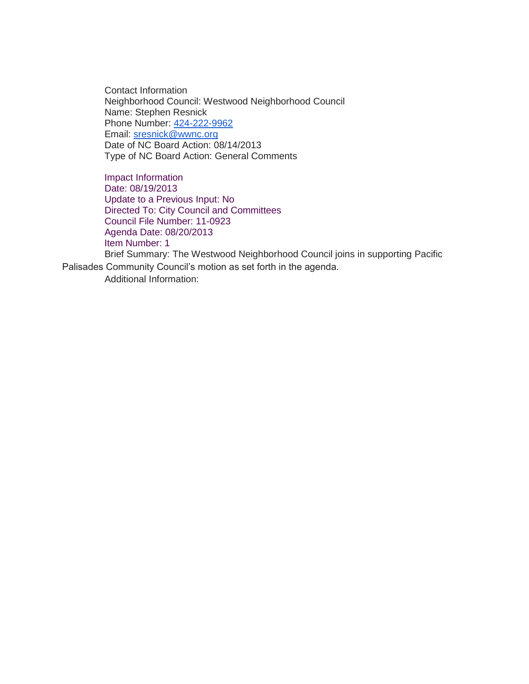Contact Information Neighborhood Council: Westwood Neighborhood Council Name: Stephen Resnick Phone Number: [424-222-9962](tel:424-222-9962) Email: [sresnick@wwnc.org](mailto:sresnick@wwnc.org) Date of NC Board Action: 08/14/2013 Type of NC Board Action: General Comments

Impact Information Date: 08/19/2013 Update to a Previous Input: No Directed To: City Council and Committees Council File Number: 11-0923 Agenda Date: 08/20/2013 Item Number: 1 Brief Summary: The Westwood Neighborhood Council joins in supporting Pacific

Palisades Community Council's motion as set forth in the agenda. Additional Information: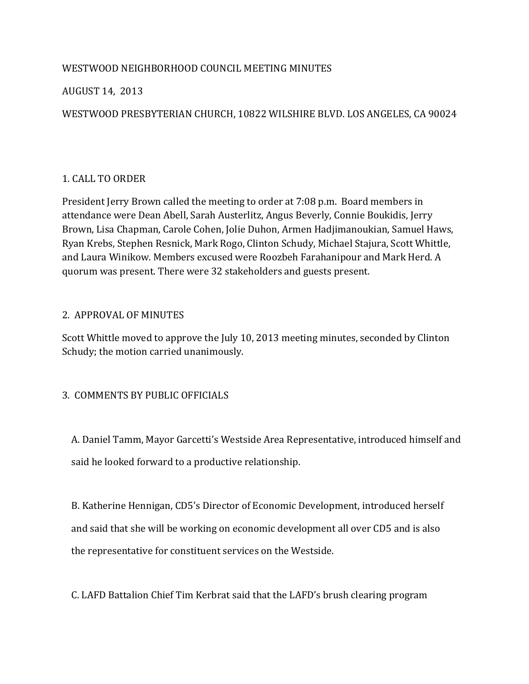# WESTWOOD NEIGHBORHOOD COUNCIL MEETING MINUTES

# AUGUST 14, 2013

# WESTWOOD PRESBYTERIAN CHURCH, 10822 WILSHIRE BLVD. LOS ANGELES, CA 90024

# 1. CALL TO ORDER

President Jerry Brown called the meeting to order at 7:08 p.m. Board members in attendance were Dean Abell, Sarah Austerlitz, Angus Beverly, Connie Boukidis, Jerry Brown, Lisa Chapman, Carole Cohen, Jolie Duhon, Armen Hadjimanoukian, Samuel Haws, Ryan Krebs, Stephen Resnick, Mark Rogo, Clinton Schudy, Michael Stajura, Scott Whittle, and Laura Winikow. Members excused were Roozbeh Farahanipour and Mark Herd. A quorum was present. There were 32 stakeholders and guests present.

# 2. APPROVAL OF MINUTES

Scott Whittle moved to approve the July 10, 2013 meeting minutes, seconded by Clinton Schudy; the motion carried unanimously.

# 3. COMMENTS BY PUBLIC OFFICIALS

 A. Daniel Tamm, Mayor Garcetti's Westside Area Representative, introduced himself and said he looked forward to a productive relationship.

 B. Katherine Hennigan, CD5's Director of Economic Development, introduced herself and said that she will be working on economic development all over CD5 and is also the representative for constituent services on the Westside.

C. LAFD Battalion Chief Tim Kerbrat said that the LAFD's brush clearing program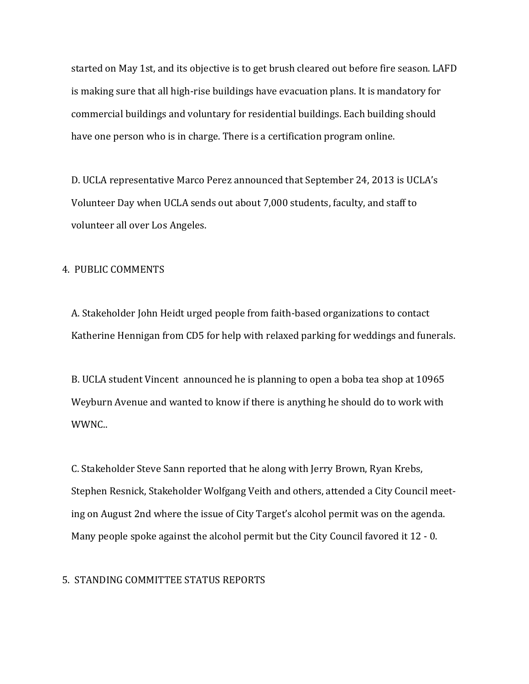started on May 1st, and its objective is to get brush cleared out before fire season. LAFD is making sure that all high-rise buildings have evacuation plans. It is mandatory for commercial buildings and voluntary for residential buildings. Each building should have one person who is in charge. There is a certification program online.

 D. UCLA representative Marco Perez announced that September 24, 2013 is UCLA's Volunteer Day when UCLA sends out about 7,000 students, faculty, and staff to volunteer all over Los Angeles.

#### 4. PUBLIC COMMENTS

 A. Stakeholder John Heidt urged people from faith-based organizations to contact Katherine Hennigan from CD5 for help with relaxed parking for weddings and funerals.

 B. UCLA student Vincent announced he is planning to open a boba tea shop at 10965 Weyburn Avenue and wanted to know if there is anything he should do to work with WWNC..

 C. Stakeholder Steve Sann reported that he along with Jerry Brown, Ryan Krebs, Stephen Resnick, Stakeholder Wolfgang Veith and others, attended a City Council meet ing on August 2nd where the issue of City Target's alcohol permit was on the agenda. Many people spoke against the alcohol permit but the City Council favored it 12 - 0.

#### 5. STANDING COMMITTEE STATUS REPORTS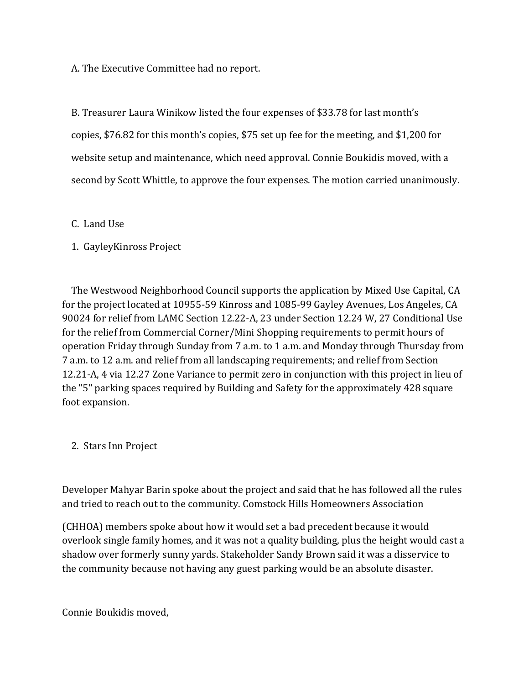A. The Executive Committee had no report.

 B. Treasurer Laura Winikow listed the four expenses of \$33.78 for last month's copies, \$76.82 for this month's copies, \$75 set up fee for the meeting, and \$1,200 for website setup and maintenance, which need approval. Connie Boukidis moved, with a second by Scott Whittle, to approve the four expenses. The motion carried unanimously.

### C. Land Use

# 1. GayleyKinross Project

 The Westwood Neighborhood Council supports the application by Mixed Use Capital, CA for the project located at 10955-59 Kinross and 1085-99 Gayley Avenues, Los Angeles, CA 90024 for relief from LAMC Section 12.22-A, 23 under Section 12.24 W, 27 Conditional Use for the relief from Commercial Corner/Mini Shopping requirements to permit hours of operation Friday through Sunday from 7 a.m. to 1 a.m. and Monday through Thursday from 7 a.m. to 12 a.m. and relief from all landscaping requirements; and relief from Section 12.21-A, 4 via 12.27 Zone Variance to permit zero in conjunction with this project in lieu of the "5" parking spaces required by Building and Safety for the approximately 428 square foot expansion.

# 2. Stars Inn Project

Developer Mahyar Barin spoke about the project and said that he has followed all the rules and tried to reach out to the community. Comstock Hills Homeowners Association

(CHHOA) members spoke about how it would set a bad precedent because it would overlook single family homes, and it was not a quality building, plus the height would cast a shadow over formerly sunny yards. Stakeholder Sandy Brown said it was a disservice to the community because not having any guest parking would be an absolute disaster.

Connie Boukidis moved,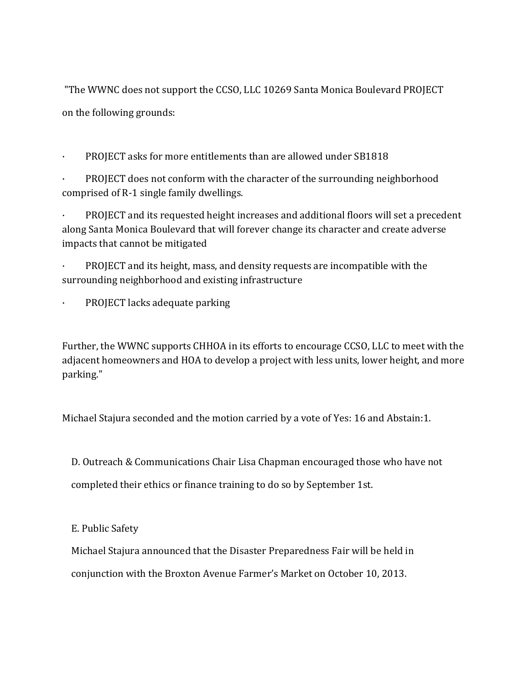"The WWNC does not support the CCSO, LLC 10269 Santa Monica Boulevard PROJECT on the following grounds:

· PROJECT asks for more entitlements than are allowed under SB1818

PROJECT does not conform with the character of the surrounding neighborhood comprised of R-1 single family dwellings.

PROJECT and its requested height increases and additional floors will set a precedent along Santa Monica Boulevard that will forever change its character and create adverse impacts that cannot be mitigated

PROJECT and its height, mass, and density requests are incompatible with the surrounding neighborhood and existing infrastructure

PROJECT lacks adequate parking

Further, the WWNC supports CHHOA in its efforts to encourage CCSO, LLC to meet with the adjacent homeowners and HOA to develop a project with less units, lower height, and more parking."

Michael Stajura seconded and the motion carried by a vote of Yes: 16 and Abstain:1.

D. Outreach & Communications Chair Lisa Chapman encouraged those who have not

completed their ethics or finance training to do so by September 1st.

E. Public Safety

 Michael Stajura announced that the Disaster Preparedness Fair will be held in conjunction with the Broxton Avenue Farmer's Market on October 10, 2013.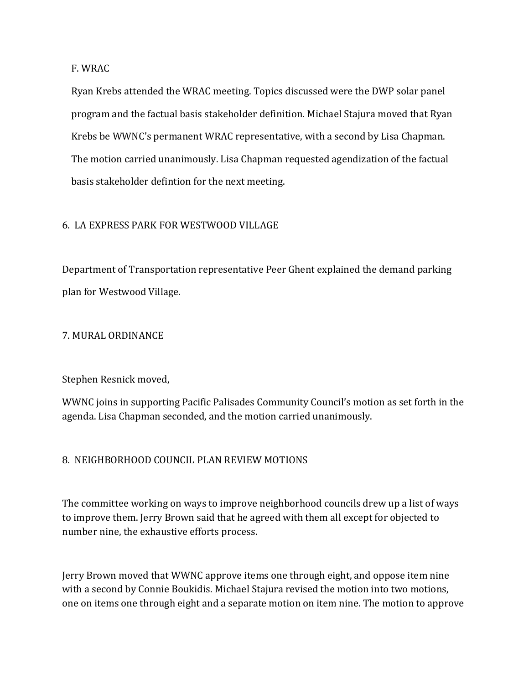F. WRAC

 Ryan Krebs attended the WRAC meeting. Topics discussed were the DWP solar panel program and the factual basis stakeholder definition. Michael Stajura moved that Ryan Krebs be WWNC's permanent WRAC representative, with a second by Lisa Chapman. The motion carried unanimously. Lisa Chapman requested agendization of the factual basis stakeholder defintion for the next meeting.

#### 6. LA EXPRESS PARK FOR WESTWOOD VILLAGE

Department of Transportation representative Peer Ghent explained the demand parking plan for Westwood Village.

#### 7. MURAL ORDINANCE

### Stephen Resnick moved,

WWNC joins in supporting Pacific Palisades Community Council's motion as set forth in the agenda. Lisa Chapman seconded, and the motion carried unanimously.

### 8. NEIGHBORHOOD COUNCIL PLAN REVIEW MOTIONS

The committee working on ways to improve neighborhood councils drew up a list of ways to improve them. Jerry Brown said that he agreed with them all except for objected to number nine, the exhaustive efforts process.

Jerry Brown moved that WWNC approve items one through eight, and oppose item nine with a second by Connie Boukidis. Michael Stajura revised the motion into two motions, one on items one through eight and a separate motion on item nine. The motion to approve